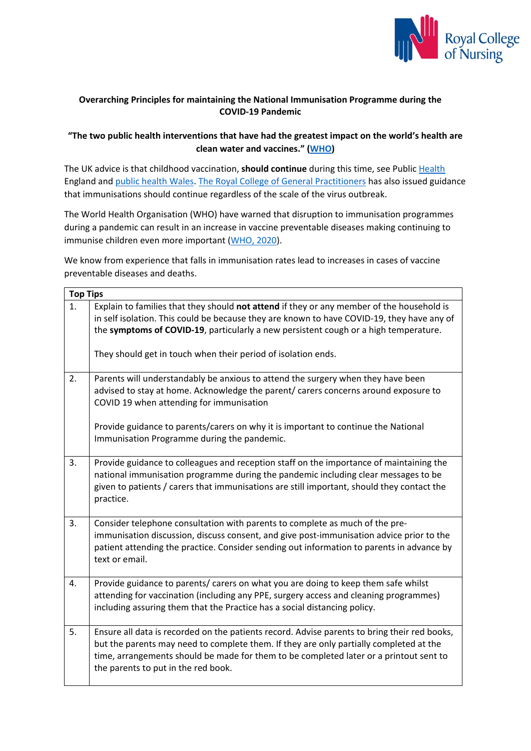

## **Overarching Principles for maintaining the National Immunisation Programme during the COVID-19 Pandemic**

## **"The two public health interventions that have had the greatest impact on the world's health are clean water and vaccines." [\(WHO\)](https://www.who.int/bulletin/volumes/86/2/07-040089/en/)**

The UK advice is that childhood vaccination, **should continue** during this time, see Publi[c Health](https://www.gov.uk/government/publications/vaccine-update-issue-306-march-2020) England and [public health Wales.](https://gov.wales/continuation-immunisation-programmes-during-covid-19-pandemic-letter-cmo-whc2020006) [The Royal College of General Practitioners](https://www.rcgp.org.uk/-/media/Files/Policy/A-Z-policy/2020/covid19/RCGP%20guidance/202003233RCGPGuidanceprioritisationroutineworkduringCovidFINAL) has also issued guidance that immunisations should continue regardless of the scale of the virus outbreak.

The World Health Organisation (WHO) have warned that disruption to immunisation programmes during a pandemic can result in an increase in vaccine preventable diseases making continuing to immunise children even more important [\(WHO, 2020\)](http://www.euro.who.int/en/health-topics/health-emergencies/coronavirus-covid-19/novel-coronavirus-2019-ncov-technical-guidance/coronavirus-disease-covid-19-outbreak-technical-guidance-europe/guidance-on-routine-immunization-services-during-covid-19-pandemic-in-the-who-european-region-2020).

We know from experience that falls in immunisation rates lead to increases in cases of vaccine preventable diseases and deaths.

| <b>Top Tips</b> |                                                                                                                                                                                                                                                                                                                                                          |
|-----------------|----------------------------------------------------------------------------------------------------------------------------------------------------------------------------------------------------------------------------------------------------------------------------------------------------------------------------------------------------------|
| 1.              | Explain to families that they should not attend if they or any member of the household is<br>in self isolation. This could be because they are known to have COVID-19, they have any of<br>the symptoms of COVID-19, particularly a new persistent cough or a high temperature.<br>They should get in touch when their period of isolation ends.         |
| 2.              | Parents will understandably be anxious to attend the surgery when they have been<br>advised to stay at home. Acknowledge the parent/ carers concerns around exposure to<br>COVID 19 when attending for immunisation<br>Provide guidance to parents/carers on why it is important to continue the National<br>Immunisation Programme during the pandemic. |
| 3.              | Provide guidance to colleagues and reception staff on the importance of maintaining the<br>national immunisation programme during the pandemic including clear messages to be<br>given to patients / carers that immunisations are still important, should they contact the<br>practice.                                                                 |
| 3.              | Consider telephone consultation with parents to complete as much of the pre-<br>immunisation discussion, discuss consent, and give post-immunisation advice prior to the<br>patient attending the practice. Consider sending out information to parents in advance by<br>text or email.                                                                  |
| 4.              | Provide guidance to parents/ carers on what you are doing to keep them safe whilst<br>attending for vaccination (including any PPE, surgery access and cleaning programmes)<br>including assuring them that the Practice has a social distancing policy.                                                                                                 |
| 5.              | Ensure all data is recorded on the patients record. Advise parents to bring their red books,<br>but the parents may need to complete them. If they are only partially completed at the<br>time, arrangements should be made for them to be completed later or a printout sent to<br>the parents to put in the red book.                                  |